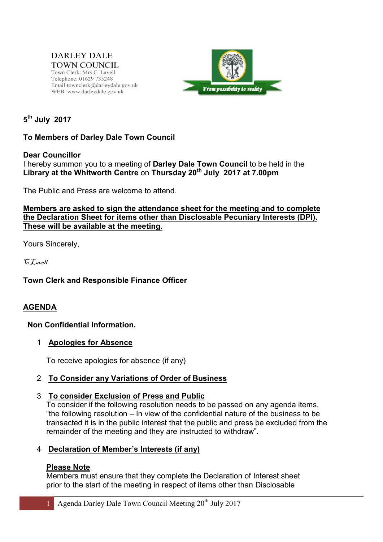**DARLEY DALE TOWN COUNCIL** Town Clerk: Mrs C. Lavell Telephone: 01629 735248 Email:townclerk@darleydale.gov.uk WEB: www.darleydale.gov.uk



5<sup>th</sup> July 2017

# To Members of Darley Dale Town Council

### Dear Councillor

I hereby summon you to a meeting of Darley Dale Town Council to be held in the Library at the Whitworth Centre on Thursday 20<sup>th</sup> July 2017 at 7.00pm

The Public and Press are welcome to attend.

### Members are asked to sign the attendance sheet for the meeting and to complete the Declaration Sheet for items other than Disclosable Pecuniary Interests (DPI). These will be available at the meeting.

Yours Sincerely,

 $CT$ <sub>ave</sub>  $\int$ 

Town Clerk and Responsible Finance Officer

## AGENDA

### Non Confidential Information.

### 1 Apologies for Absence

To receive apologies for absence (if any)

## 2 To Consider any Variations of Order of Business

### 3 To consider Exclusion of Press and Public

To consider if the following resolution needs to be passed on any agenda items, "the following resolution – In view of the confidential nature of the business to be transacted it is in the public interest that the public and press be excluded from the remainder of the meeting and they are instructed to withdraw".

## 4 Declaration of Member's Interests (if any)

### Please Note

Members must ensure that they complete the Declaration of Interest sheet prior to the start of the meeting in respect of items other than Disclosable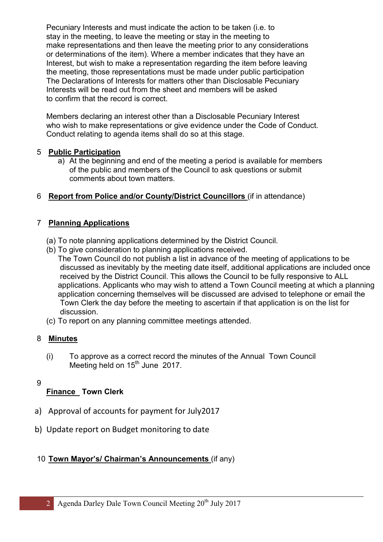Pecuniary Interests and must indicate the action to be taken (i.e. to stay in the meeting, to leave the meeting or stay in the meeting to make representations and then leave the meeting prior to any considerations or determinations of the item). Where a member indicates that they have an Interest, but wish to make a representation regarding the item before leaving the meeting, those representations must be made under public participation The Declarations of Interests for matters other than Disclosable Pecuniary Interests will be read out from the sheet and members will be asked to confirm that the record is correct.

Members declaring an interest other than a Disclosable Pecuniary Interest who wish to make representations or give evidence under the Code of Conduct. Conduct relating to agenda items shall do so at this stage.

# 5 Public Participation

a) At the beginning and end of the meeting a period is available for members of the public and members of the Council to ask questions or submit comments about town matters.

# 6 Report from Police and/or County/District Councillors (if in attendance)

## 7 Planning Applications

- (a) To note planning applications determined by the District Council.
- (b) To give consideration to planning applications received. The Town Council do not publish a list in advance of the meeting of applications to be discussed as inevitably by the meeting date itself, additional applications are included once received by the District Council. This allows the Council to be fully responsive to ALL applications. Applicants who may wish to attend a Town Council meeting at which a planning application concerning themselves will be discussed are advised to telephone or email the Town Clerk the day before the meeting to ascertain if that application is on the list for discussion.
- (c) To report on any planning committee meetings attended.

## 8 Minutes

- (i) To approve as a correct record the minutes of the Annual Town Council Meeting held on 15<sup>th</sup> June 2017.
- 9

# Finance Town Clerk

- a) Approval of accounts for payment for July2017
- b) Update report on Budget monitoring to date

# 10 Town Mayor's/ Chairman's Announcements (if any)